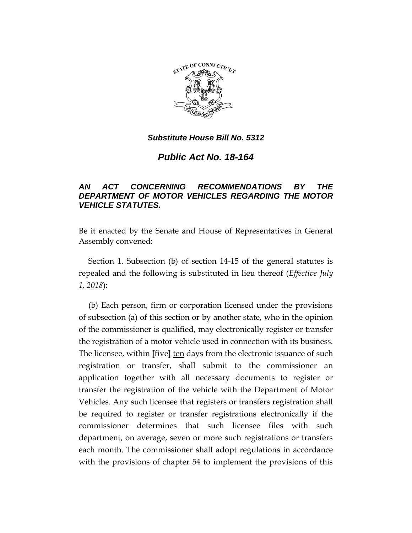

*Public Act No. 18-164*

# *AN ACT CONCERNING RECOMMENDATIONS BY THE DEPARTMENT OF MOTOR VEHICLES REGARDING THE MOTOR VEHICLE STATUTES.*

Be it enacted by the Senate and House of Representatives in General Assembly convened:

Section 1. Subsection (b) of section 14-15 of the general statutes is repealed and the following is substituted in lieu thereof (*Effective July 1, 2018*):

(b) Each person, firm or corporation licensed under the provisions of subsection (a) of this section or by another state, who in the opinion of the commissioner is qualified, may electronically register or transfer the registration of a motor vehicle used in connection with its business. The licensee, within **[**five**]** ten days from the electronic issuance of such registration or transfer, shall submit to the commissioner an application together with all necessary documents to register or transfer the registration of the vehicle with the Department of Motor Vehicles. Any such licensee that registers or transfers registration shall be required to register or transfer registrations electronically if the commissioner determines that such licensee files with such department, on average, seven or more such registrations or transfers each month. The commissioner shall adopt regulations in accordance with the provisions of chapter 54 to implement the provisions of this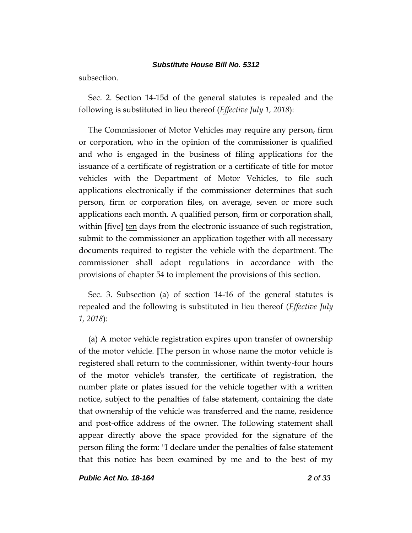subsection.

Sec. 2. Section 14-15d of the general statutes is repealed and the following is substituted in lieu thereof (*Effective July 1, 2018*):

The Commissioner of Motor Vehicles may require any person, firm or corporation, who in the opinion of the commissioner is qualified and who is engaged in the business of filing applications for the issuance of a certificate of registration or a certificate of title for motor vehicles with the Department of Motor Vehicles, to file such applications electronically if the commissioner determines that such person, firm or corporation files, on average, seven or more such applications each month. A qualified person, firm or corporation shall, within **[**five**]** ten days from the electronic issuance of such registration, submit to the commissioner an application together with all necessary documents required to register the vehicle with the department. The commissioner shall adopt regulations in accordance with the provisions of chapter 54 to implement the provisions of this section.

Sec. 3. Subsection (a) of section 14-16 of the general statutes is repealed and the following is substituted in lieu thereof (*Effective July 1, 2018*):

(a) A motor vehicle registration expires upon transfer of ownership of the motor vehicle. **[**The person in whose name the motor vehicle is registered shall return to the commissioner, within twenty-four hours of the motor vehicle's transfer, the certificate of registration, the number plate or plates issued for the vehicle together with a written notice, subject to the penalties of false statement, containing the date that ownership of the vehicle was transferred and the name, residence and post-office address of the owner. The following statement shall appear directly above the space provided for the signature of the person filing the form: "I declare under the penalties of false statement that this notice has been examined by me and to the best of my

*Public Act No. 18-164 2 of 33*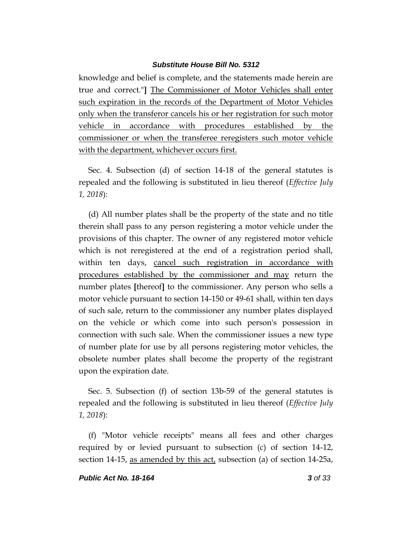knowledge and belief is complete, and the statements made herein are true and correct."**]** The Commissioner of Motor Vehicles shall enter such expiration in the records of the Department of Motor Vehicles only when the transferor cancels his or her registration for such motor vehicle in accordance with procedures established by the commissioner or when the transferee reregisters such motor vehicle with the department, whichever occurs first.

Sec. 4. Subsection (d) of section 14-18 of the general statutes is repealed and the following is substituted in lieu thereof (*Effective July 1, 2018*):

(d) All number plates shall be the property of the state and no title therein shall pass to any person registering a motor vehicle under the provisions of this chapter. The owner of any registered motor vehicle which is not reregistered at the end of a registration period shall, within ten days, cancel such registration in accordance with procedures established by the commissioner and may return the number plates **[**thereof**]** to the commissioner. Any person who sells a motor vehicle pursuant to section 14-150 or 49-61 shall, within ten days of such sale, return to the commissioner any number plates displayed on the vehicle or which come into such person's possession in connection with such sale. When the commissioner issues a new type of number plate for use by all persons registering motor vehicles, the obsolete number plates shall become the property of the registrant upon the expiration date.

Sec. 5. Subsection (f) of section 13b-59 of the general statutes is repealed and the following is substituted in lieu thereof (*Effective July 1, 2018*):

(f) "Motor vehicle receipts" means all fees and other charges required by or levied pursuant to subsection (c) of section 14-12, section 14-15, as amended by this act, subsection (a) of section 14-25a,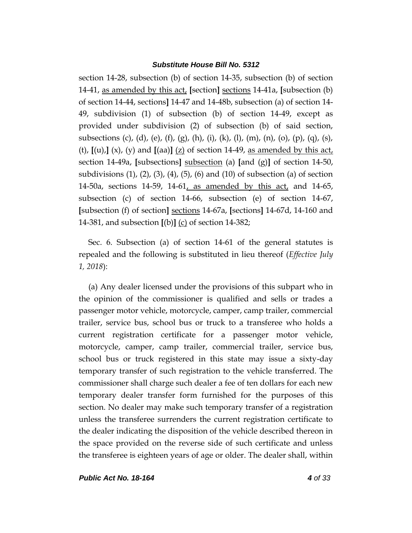section 14-28, subsection (b) of section 14-35, subsection (b) of section 14-41, as amended by this act, **[**section**]** sections 14-41a, **[**subsection (b) of section 14-44, sections**]** 14-47 and 14-48b, subsection (a) of section 14- 49, subdivision (1) of subsection (b) of section 14-49, except as provided under subdivision (2) of subsection (b) of said section, subsections (c), (d), (e), (f), (g), (h), (i), (k), (l), (m), (n), (o), (p), (q), (s), (t),  $[(u),](x)$ ,  $(y)$  and  $[(aa)]$   $(z)$  of section 14-49, as amended by this act, section 14-49a, **[**subsections**]** subsection (a) **[**and (g)**]** of section 14-50, subdivisions  $(1)$ ,  $(2)$ ,  $(3)$ ,  $(4)$ ,  $(5)$ ,  $(6)$  and  $(10)$  of subsection  $(a)$  of section 14-50a, sections 14-59, 14-61, as amended by this act, and 14-65, subsection (c) of section 14-66, subsection (e) of section 14-67, **[**subsection (f) of section**]** sections 14-67a, **[**sections**]** 14-67d, 14-160 and 14-381, and subsection **[**(b)**]** (c) of section 14-382;

Sec. 6. Subsection (a) of section 14-61 of the general statutes is repealed and the following is substituted in lieu thereof (*Effective July 1, 2018*):

(a) Any dealer licensed under the provisions of this subpart who in the opinion of the commissioner is qualified and sells or trades a passenger motor vehicle, motorcycle, camper, camp trailer, commercial trailer, service bus, school bus or truck to a transferee who holds a current registration certificate for a passenger motor vehicle, motorcycle, camper, camp trailer, commercial trailer, service bus, school bus or truck registered in this state may issue a sixty-day temporary transfer of such registration to the vehicle transferred. The commissioner shall charge such dealer a fee of ten dollars for each new temporary dealer transfer form furnished for the purposes of this section. No dealer may make such temporary transfer of a registration unless the transferee surrenders the current registration certificate to the dealer indicating the disposition of the vehicle described thereon in the space provided on the reverse side of such certificate and unless the transferee is eighteen years of age or older. The dealer shall, within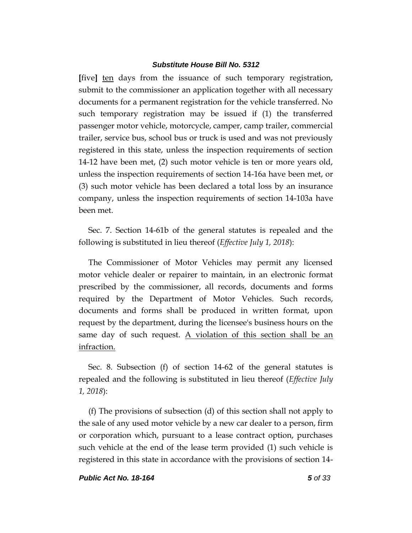**[**five**]** ten days from the issuance of such temporary registration, submit to the commissioner an application together with all necessary documents for a permanent registration for the vehicle transferred. No such temporary registration may be issued if (1) the transferred passenger motor vehicle, motorcycle, camper, camp trailer, commercial trailer, service bus, school bus or truck is used and was not previously registered in this state, unless the inspection requirements of section 14-12 have been met, (2) such motor vehicle is ten or more years old, unless the inspection requirements of section 14-16a have been met, or (3) such motor vehicle has been declared a total loss by an insurance company, unless the inspection requirements of section 14-103a have been met.

Sec. 7. Section 14-61b of the general statutes is repealed and the following is substituted in lieu thereof (*Effective July 1, 2018*):

The Commissioner of Motor Vehicles may permit any licensed motor vehicle dealer or repairer to maintain, in an electronic format prescribed by the commissioner, all records, documents and forms required by the Department of Motor Vehicles. Such records, documents and forms shall be produced in written format, upon request by the department, during the licensee's business hours on the same day of such request. A violation of this section shall be an infraction.

Sec. 8. Subsection (f) of section 14-62 of the general statutes is repealed and the following is substituted in lieu thereof (*Effective July 1, 2018*):

(f) The provisions of subsection (d) of this section shall not apply to the sale of any used motor vehicle by a new car dealer to a person, firm or corporation which, pursuant to a lease contract option, purchases such vehicle at the end of the lease term provided (1) such vehicle is registered in this state in accordance with the provisions of section 14-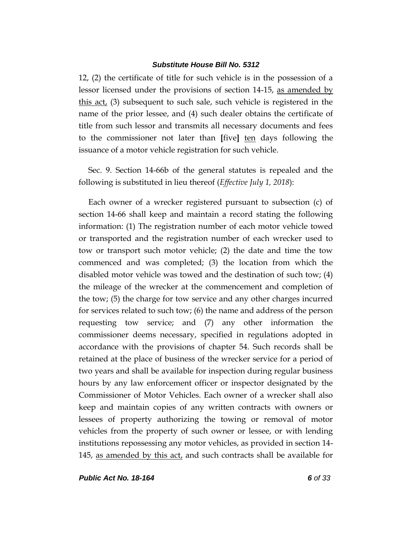12, (2) the certificate of title for such vehicle is in the possession of a lessor licensed under the provisions of section 14-15, as amended by this act, (3) subsequent to such sale, such vehicle is registered in the name of the prior lessee, and (4) such dealer obtains the certificate of title from such lessor and transmits all necessary documents and fees to the commissioner not later than **[**five**]** ten days following the issuance of a motor vehicle registration for such vehicle.

Sec. 9. Section 14-66b of the general statutes is repealed and the following is substituted in lieu thereof (*Effective July 1, 2018*):

Each owner of a wrecker registered pursuant to subsection (c) of section 14-66 shall keep and maintain a record stating the following information: (1) The registration number of each motor vehicle towed or transported and the registration number of each wrecker used to tow or transport such motor vehicle; (2) the date and time the tow commenced and was completed; (3) the location from which the disabled motor vehicle was towed and the destination of such tow; (4) the mileage of the wrecker at the commencement and completion of the tow; (5) the charge for tow service and any other charges incurred for services related to such tow; (6) the name and address of the person requesting tow service; and (7) any other information the commissioner deems necessary, specified in regulations adopted in accordance with the provisions of chapter 54. Such records shall be retained at the place of business of the wrecker service for a period of two years and shall be available for inspection during regular business hours by any law enforcement officer or inspector designated by the Commissioner of Motor Vehicles. Each owner of a wrecker shall also keep and maintain copies of any written contracts with owners or lessees of property authorizing the towing or removal of motor vehicles from the property of such owner or lessee, or with lending institutions repossessing any motor vehicles, as provided in section 14- 145, as amended by this act, and such contracts shall be available for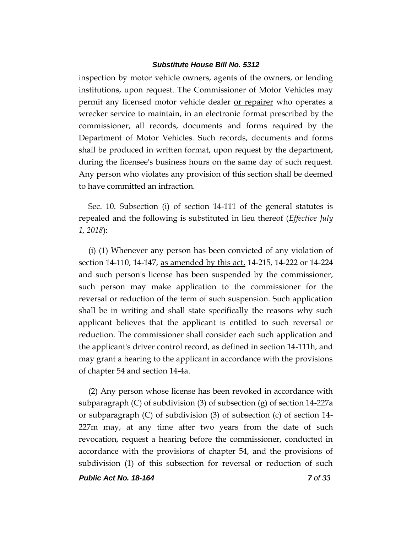inspection by motor vehicle owners, agents of the owners, or lending institutions, upon request. The Commissioner of Motor Vehicles may permit any licensed motor vehicle dealer or repairer who operates a wrecker service to maintain, in an electronic format prescribed by the commissioner, all records, documents and forms required by the Department of Motor Vehicles. Such records, documents and forms shall be produced in written format, upon request by the department, during the licensee's business hours on the same day of such request. Any person who violates any provision of this section shall be deemed to have committed an infraction.

Sec. 10. Subsection (i) of section 14-111 of the general statutes is repealed and the following is substituted in lieu thereof (*Effective July 1, 2018*):

(i) (1) Whenever any person has been convicted of any violation of section 14-110, 14-147, as amended by this act, 14-215, 14-222 or 14-224 and such person's license has been suspended by the commissioner, such person may make application to the commissioner for the reversal or reduction of the term of such suspension. Such application shall be in writing and shall state specifically the reasons why such applicant believes that the applicant is entitled to such reversal or reduction. The commissioner shall consider each such application and the applicant's driver control record, as defined in section 14-111h, and may grant a hearing to the applicant in accordance with the provisions of chapter 54 and section 14-4a.

(2) Any person whose license has been revoked in accordance with subparagraph  $(C)$  of subdivision  $(3)$  of subsection  $(g)$  of section 14-227a or subparagraph  $(C)$  of subdivision  $(3)$  of subsection  $(c)$  of section 14-227m may, at any time after two years from the date of such revocation, request a hearing before the commissioner, conducted in accordance with the provisions of chapter 54, and the provisions of subdivision (1) of this subsection for reversal or reduction of such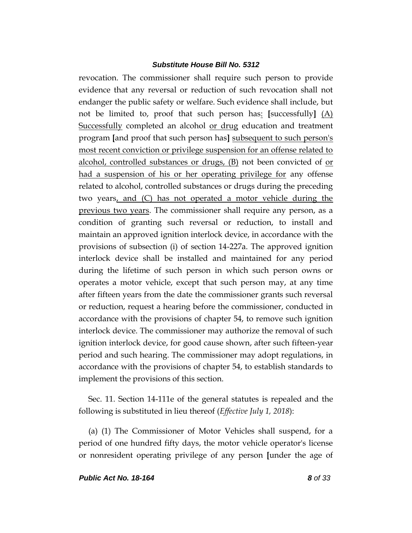revocation. The commissioner shall require such person to provide evidence that any reversal or reduction of such revocation shall not endanger the public safety or welfare. Such evidence shall include, but not be limited to, proof that such person has: **[**successfully**]** (A) Successfully completed an alcohol or drug education and treatment program **[**and proof that such person has**]** subsequent to such person's most recent conviction or privilege suspension for an offense related to alcohol, controlled substances or drugs, (B) not been convicted of or had a suspension of his or her operating privilege for any offense related to alcohol, controlled substances or drugs during the preceding two years, and (C) has not operated a motor vehicle during the previous two years. The commissioner shall require any person, as a condition of granting such reversal or reduction, to install and maintain an approved ignition interlock device, in accordance with the provisions of subsection (i) of section 14-227a. The approved ignition interlock device shall be installed and maintained for any period during the lifetime of such person in which such person owns or operates a motor vehicle, except that such person may, at any time after fifteen years from the date the commissioner grants such reversal or reduction, request a hearing before the commissioner, conducted in accordance with the provisions of chapter 54, to remove such ignition interlock device. The commissioner may authorize the removal of such ignition interlock device, for good cause shown, after such fifteen-year period and such hearing. The commissioner may adopt regulations, in accordance with the provisions of chapter 54, to establish standards to implement the provisions of this section.

Sec. 11. Section 14-111e of the general statutes is repealed and the following is substituted in lieu thereof (*Effective July 1, 2018*):

(a) (1) The Commissioner of Motor Vehicles shall suspend, for a period of one hundred fifty days, the motor vehicle operator's license or nonresident operating privilege of any person **[**under the age of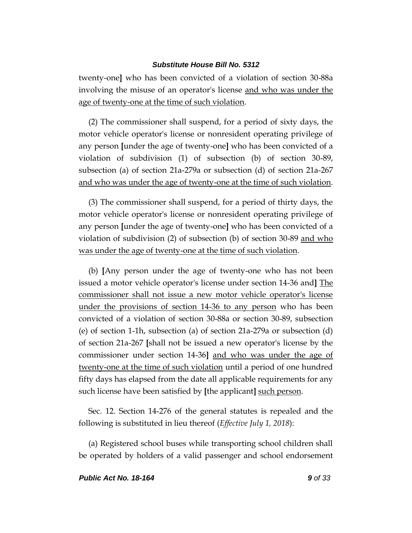twenty-one**]** who has been convicted of a violation of section 30-88a involving the misuse of an operator's license and who was under the age of twenty-one at the time of such violation.

(2) The commissioner shall suspend, for a period of sixty days, the motor vehicle operator's license or nonresident operating privilege of any person **[**under the age of twenty-one**]** who has been convicted of a violation of subdivision (1) of subsection (b) of section 30-89, subsection (a) of section 21a-279a or subsection (d) of section 21a-267 and who was under the age of twenty-one at the time of such violation.

(3) The commissioner shall suspend, for a period of thirty days, the motor vehicle operator's license or nonresident operating privilege of any person **[**under the age of twenty-one**]** who has been convicted of a violation of subdivision  $(2)$  of subsection  $(b)$  of section 30-89 and who was under the age of twenty-one at the time of such violation.

(b) **[**Any person under the age of twenty-one who has not been issued a motor vehicle operator's license under section 14-36 and**]** The commissioner shall not issue a new motor vehicle operator's license under the provisions of section 14-36 to any person who has been convicted of a violation of section 30-88a or section 30-89, subsection (e) of section 1-1h, subsection (a) of section 21a-279a or subsection (d) of section 21a-267 **[**shall not be issued a new operator's license by the commissioner under section 14-36**]** and who was under the age of twenty-one at the time of such violation until a period of one hundred fifty days has elapsed from the date all applicable requirements for any such license have been satisfied by **[**the applicant**]** such person.

Sec. 12. Section 14-276 of the general statutes is repealed and the following is substituted in lieu thereof (*Effective July 1, 2018*):

(a) Registered school buses while transporting school children shall be operated by holders of a valid passenger and school endorsement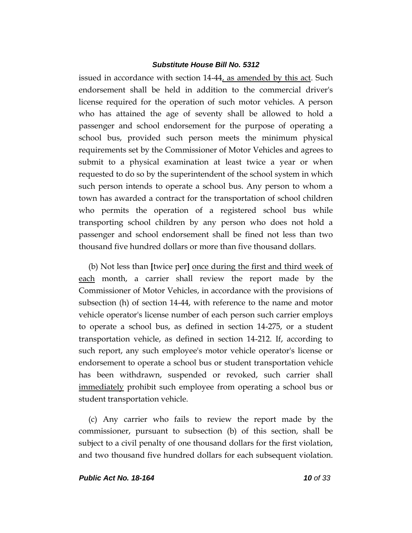issued in accordance with section 14-44, as amended by this act. Such endorsement shall be held in addition to the commercial driver's license required for the operation of such motor vehicles. A person who has attained the age of seventy shall be allowed to hold a passenger and school endorsement for the purpose of operating a school bus, provided such person meets the minimum physical requirements set by the Commissioner of Motor Vehicles and agrees to submit to a physical examination at least twice a year or when requested to do so by the superintendent of the school system in which such person intends to operate a school bus. Any person to whom a town has awarded a contract for the transportation of school children who permits the operation of a registered school bus while transporting school children by any person who does not hold a passenger and school endorsement shall be fined not less than two thousand five hundred dollars or more than five thousand dollars.

(b) Not less than **[**twice per**]** once during the first and third week of each month, a carrier shall review the report made by the Commissioner of Motor Vehicles, in accordance with the provisions of subsection (h) of section 14-44, with reference to the name and motor vehicle operator's license number of each person such carrier employs to operate a school bus, as defined in section 14-275, or a student transportation vehicle, as defined in section 14-212. If, according to such report, any such employee's motor vehicle operator's license or endorsement to operate a school bus or student transportation vehicle has been withdrawn, suspended or revoked, such carrier shall immediately prohibit such employee from operating a school bus or student transportation vehicle.

(c) Any carrier who fails to review the report made by the commissioner, pursuant to subsection (b) of this section, shall be subject to a civil penalty of one thousand dollars for the first violation, and two thousand five hundred dollars for each subsequent violation.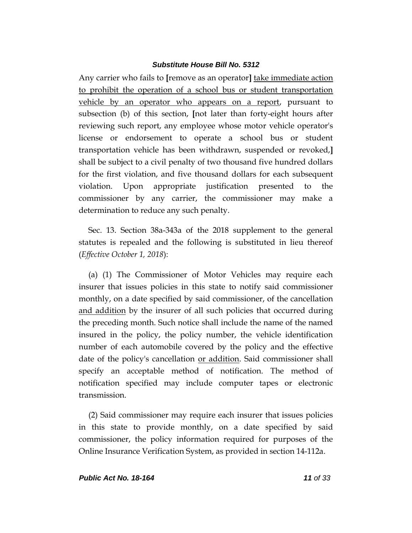Any carrier who fails to **[**remove as an operator**]** take immediate action to prohibit the operation of a school bus or student transportation vehicle by an operator who appears on a report, pursuant to subsection (b) of this section, **[**not later than forty-eight hours after reviewing such report, any employee whose motor vehicle operator's license or endorsement to operate a school bus or student transportation vehicle has been withdrawn, suspended or revoked,**]** shall be subject to a civil penalty of two thousand five hundred dollars for the first violation, and five thousand dollars for each subsequent violation. Upon appropriate justification presented to the commissioner by any carrier, the commissioner may make a determination to reduce any such penalty.

Sec. 13. Section 38a-343a of the 2018 supplement to the general statutes is repealed and the following is substituted in lieu thereof (*Effective October 1, 2018*):

(a) (1) The Commissioner of Motor Vehicles may require each insurer that issues policies in this state to notify said commissioner monthly, on a date specified by said commissioner, of the cancellation and addition by the insurer of all such policies that occurred during the preceding month. Such notice shall include the name of the named insured in the policy, the policy number, the vehicle identification number of each automobile covered by the policy and the effective date of the policy's cancellation or addition. Said commissioner shall specify an acceptable method of notification. The method of notification specified may include computer tapes or electronic transmission.

(2) Said commissioner may require each insurer that issues policies in this state to provide monthly, on a date specified by said commissioner, the policy information required for purposes of the Online Insurance Verification System, as provided in section 14-112a.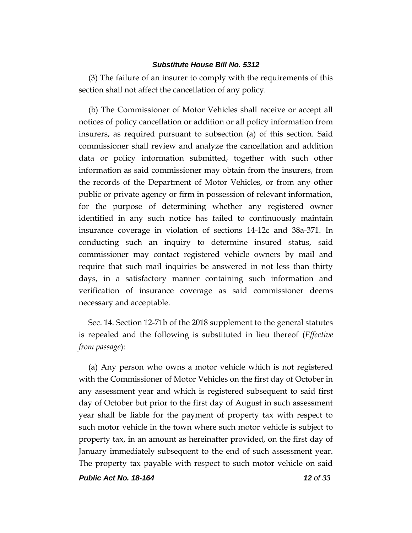(3) The failure of an insurer to comply with the requirements of this section shall not affect the cancellation of any policy.

(b) The Commissioner of Motor Vehicles shall receive or accept all notices of policy cancellation or addition or all policy information from insurers, as required pursuant to subsection (a) of this section. Said commissioner shall review and analyze the cancellation and addition data or policy information submitted, together with such other information as said commissioner may obtain from the insurers, from the records of the Department of Motor Vehicles, or from any other public or private agency or firm in possession of relevant information, for the purpose of determining whether any registered owner identified in any such notice has failed to continuously maintain insurance coverage in violation of sections 14-12c and 38a-371. In conducting such an inquiry to determine insured status, said commissioner may contact registered vehicle owners by mail and require that such mail inquiries be answered in not less than thirty days, in a satisfactory manner containing such information and verification of insurance coverage as said commissioner deems necessary and acceptable.

Sec. 14. Section 12-71b of the 2018 supplement to the general statutes is repealed and the following is substituted in lieu thereof (*Effective from passage*):

(a) Any person who owns a motor vehicle which is not registered with the Commissioner of Motor Vehicles on the first day of October in any assessment year and which is registered subsequent to said first day of October but prior to the first day of August in such assessment year shall be liable for the payment of property tax with respect to such motor vehicle in the town where such motor vehicle is subject to property tax, in an amount as hereinafter provided, on the first day of January immediately subsequent to the end of such assessment year. The property tax payable with respect to such motor vehicle on said

*Public Act No. 18-164 12 of 33*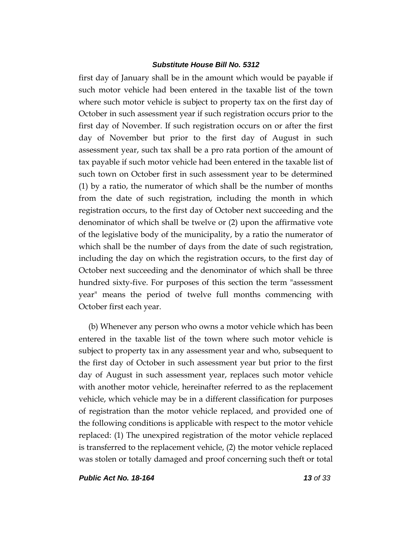first day of January shall be in the amount which would be payable if such motor vehicle had been entered in the taxable list of the town where such motor vehicle is subject to property tax on the first day of October in such assessment year if such registration occurs prior to the first day of November. If such registration occurs on or after the first day of November but prior to the first day of August in such assessment year, such tax shall be a pro rata portion of the amount of tax payable if such motor vehicle had been entered in the taxable list of such town on October first in such assessment year to be determined (1) by a ratio, the numerator of which shall be the number of months from the date of such registration, including the month in which registration occurs, to the first day of October next succeeding and the denominator of which shall be twelve or (2) upon the affirmative vote of the legislative body of the municipality, by a ratio the numerator of which shall be the number of days from the date of such registration, including the day on which the registration occurs, to the first day of October next succeeding and the denominator of which shall be three hundred sixty-five. For purposes of this section the term "assessment year" means the period of twelve full months commencing with October first each year.

(b) Whenever any person who owns a motor vehicle which has been entered in the taxable list of the town where such motor vehicle is subject to property tax in any assessment year and who, subsequent to the first day of October in such assessment year but prior to the first day of August in such assessment year, replaces such motor vehicle with another motor vehicle, hereinafter referred to as the replacement vehicle, which vehicle may be in a different classification for purposes of registration than the motor vehicle replaced, and provided one of the following conditions is applicable with respect to the motor vehicle replaced: (1) The unexpired registration of the motor vehicle replaced is transferred to the replacement vehicle, (2) the motor vehicle replaced was stolen or totally damaged and proof concerning such theft or total

*Public Act No. 18-164 13 of 33*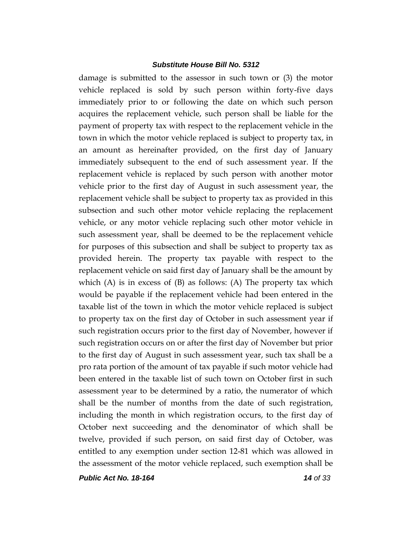damage is submitted to the assessor in such town or (3) the motor vehicle replaced is sold by such person within forty-five days immediately prior to or following the date on which such person acquires the replacement vehicle, such person shall be liable for the payment of property tax with respect to the replacement vehicle in the town in which the motor vehicle replaced is subject to property tax, in an amount as hereinafter provided, on the first day of January immediately subsequent to the end of such assessment year. If the replacement vehicle is replaced by such person with another motor vehicle prior to the first day of August in such assessment year, the replacement vehicle shall be subject to property tax as provided in this subsection and such other motor vehicle replacing the replacement vehicle, or any motor vehicle replacing such other motor vehicle in such assessment year, shall be deemed to be the replacement vehicle for purposes of this subsection and shall be subject to property tax as provided herein. The property tax payable with respect to the replacement vehicle on said first day of January shall be the amount by which  $(A)$  is in excess of  $(B)$  as follows:  $(A)$  The property tax which would be payable if the replacement vehicle had been entered in the taxable list of the town in which the motor vehicle replaced is subject to property tax on the first day of October in such assessment year if such registration occurs prior to the first day of November, however if such registration occurs on or after the first day of November but prior to the first day of August in such assessment year, such tax shall be a pro rata portion of the amount of tax payable if such motor vehicle had been entered in the taxable list of such town on October first in such assessment year to be determined by a ratio, the numerator of which shall be the number of months from the date of such registration, including the month in which registration occurs, to the first day of October next succeeding and the denominator of which shall be twelve, provided if such person, on said first day of October, was entitled to any exemption under section 12-81 which was allowed in the assessment of the motor vehicle replaced, such exemption shall be

*Public Act No. 18-164 14 of 33*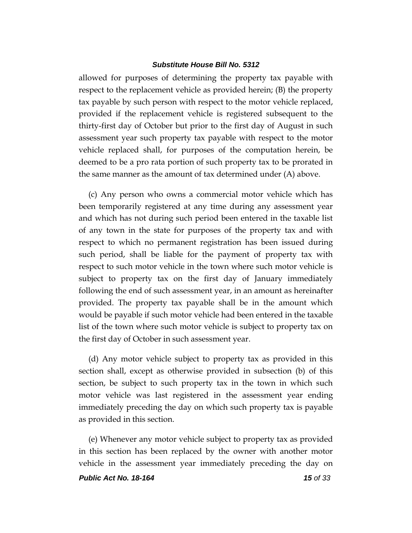allowed for purposes of determining the property tax payable with respect to the replacement vehicle as provided herein; (B) the property tax payable by such person with respect to the motor vehicle replaced, provided if the replacement vehicle is registered subsequent to the thirty-first day of October but prior to the first day of August in such assessment year such property tax payable with respect to the motor vehicle replaced shall, for purposes of the computation herein, be deemed to be a pro rata portion of such property tax to be prorated in the same manner as the amount of tax determined under (A) above.

(c) Any person who owns a commercial motor vehicle which has been temporarily registered at any time during any assessment year and which has not during such period been entered in the taxable list of any town in the state for purposes of the property tax and with respect to which no permanent registration has been issued during such period, shall be liable for the payment of property tax with respect to such motor vehicle in the town where such motor vehicle is subject to property tax on the first day of January immediately following the end of such assessment year, in an amount as hereinafter provided. The property tax payable shall be in the amount which would be payable if such motor vehicle had been entered in the taxable list of the town where such motor vehicle is subject to property tax on the first day of October in such assessment year.

(d) Any motor vehicle subject to property tax as provided in this section shall, except as otherwise provided in subsection (b) of this section, be subject to such property tax in the town in which such motor vehicle was last registered in the assessment year ending immediately preceding the day on which such property tax is payable as provided in this section.

(e) Whenever any motor vehicle subject to property tax as provided in this section has been replaced by the owner with another motor vehicle in the assessment year immediately preceding the day on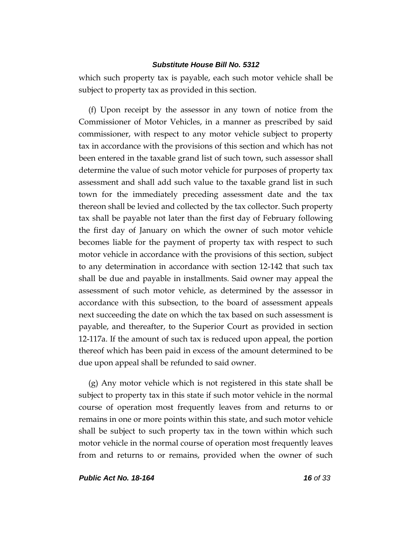which such property tax is payable, each such motor vehicle shall be subject to property tax as provided in this section.

(f) Upon receipt by the assessor in any town of notice from the Commissioner of Motor Vehicles, in a manner as prescribed by said commissioner, with respect to any motor vehicle subject to property tax in accordance with the provisions of this section and which has not been entered in the taxable grand list of such town, such assessor shall determine the value of such motor vehicle for purposes of property tax assessment and shall add such value to the taxable grand list in such town for the immediately preceding assessment date and the tax thereon shall be levied and collected by the tax collector. Such property tax shall be payable not later than the first day of February following the first day of January on which the owner of such motor vehicle becomes liable for the payment of property tax with respect to such motor vehicle in accordance with the provisions of this section, subject to any determination in accordance with section 12-142 that such tax shall be due and payable in installments. Said owner may appeal the assessment of such motor vehicle, as determined by the assessor in accordance with this subsection, to the board of assessment appeals next succeeding the date on which the tax based on such assessment is payable, and thereafter, to the Superior Court as provided in section 12-117a. If the amount of such tax is reduced upon appeal, the portion thereof which has been paid in excess of the amount determined to be due upon appeal shall be refunded to said owner.

(g) Any motor vehicle which is not registered in this state shall be subject to property tax in this state if such motor vehicle in the normal course of operation most frequently leaves from and returns to or remains in one or more points within this state, and such motor vehicle shall be subject to such property tax in the town within which such motor vehicle in the normal course of operation most frequently leaves from and returns to or remains, provided when the owner of such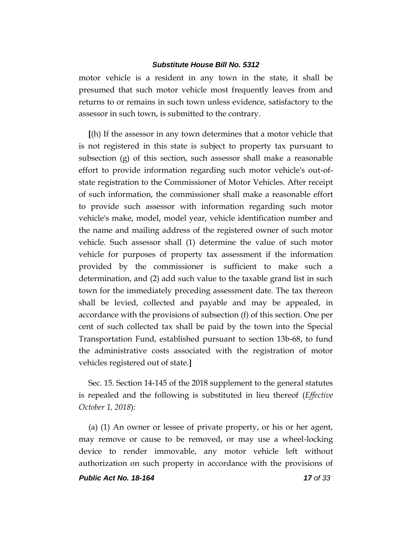motor vehicle is a resident in any town in the state, it shall be presumed that such motor vehicle most frequently leaves from and returns to or remains in such town unless evidence, satisfactory to the assessor in such town, is submitted to the contrary.

**[**(h) If the assessor in any town determines that a motor vehicle that is not registered in this state is subject to property tax pursuant to subsection (g) of this section, such assessor shall make a reasonable effort to provide information regarding such motor vehicle's out-ofstate registration to the Commissioner of Motor Vehicles. After receipt of such information, the commissioner shall make a reasonable effort to provide such assessor with information regarding such motor vehicle's make, model, model year, vehicle identification number and the name and mailing address of the registered owner of such motor vehicle. Such assessor shall (1) determine the value of such motor vehicle for purposes of property tax assessment if the information provided by the commissioner is sufficient to make such a determination, and (2) add such value to the taxable grand list in such town for the immediately preceding assessment date. The tax thereon shall be levied, collected and payable and may be appealed, in accordance with the provisions of subsection (f) of this section. One per cent of such collected tax shall be paid by the town into the Special Transportation Fund, established pursuant to section 13b-68, to fund the administrative costs associated with the registration of motor vehicles registered out of state.**]** 

Sec. 15. Section 14-145 of the 2018 supplement to the general statutes is repealed and the following is substituted in lieu thereof (*Effective October 1, 2018*):

(a) (1) An owner or lessee of private property, or his or her agent, may remove or cause to be removed, or may use a wheel-locking device to render immovable, any motor vehicle left without authorization on such property in accordance with the provisions of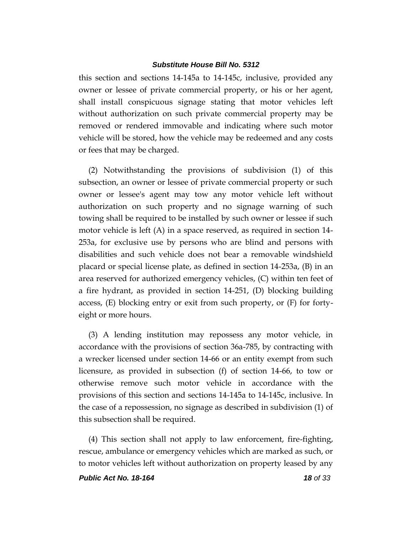this section and sections 14-145a to 14-145c, inclusive, provided any owner or lessee of private commercial property, or his or her agent, shall install conspicuous signage stating that motor vehicles left without authorization on such private commercial property may be removed or rendered immovable and indicating where such motor vehicle will be stored, how the vehicle may be redeemed and any costs or fees that may be charged.

(2) Notwithstanding the provisions of subdivision (1) of this subsection, an owner or lessee of private commercial property or such owner or lessee's agent may tow any motor vehicle left without authorization on such property and no signage warning of such towing shall be required to be installed by such owner or lessee if such motor vehicle is left (A) in a space reserved, as required in section 14- 253a, for exclusive use by persons who are blind and persons with disabilities and such vehicle does not bear a removable windshield placard or special license plate, as defined in section 14-253a, (B) in an area reserved for authorized emergency vehicles, (C) within ten feet of a fire hydrant, as provided in section 14-251, (D) blocking building access, (E) blocking entry or exit from such property, or (F) for fortyeight or more hours.

(3) A lending institution may repossess any motor vehicle, in accordance with the provisions of section 36a-785, by contracting with a wrecker licensed under section 14-66 or an entity exempt from such licensure, as provided in subsection (f) of section 14-66, to tow or otherwise remove such motor vehicle in accordance with the provisions of this section and sections 14-145a to 14-145c, inclusive. In the case of a repossession, no signage as described in subdivision (1) of this subsection shall be required.

(4) This section shall not apply to law enforcement, fire-fighting, rescue, ambulance or emergency vehicles which are marked as such, or to motor vehicles left without authorization on property leased by any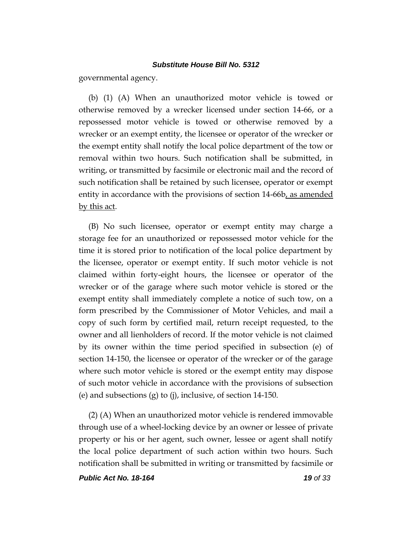governmental agency.

(b) (1) (A) When an unauthorized motor vehicle is towed or otherwise removed by a wrecker licensed under section 14-66, or a repossessed motor vehicle is towed or otherwise removed by a wrecker or an exempt entity, the licensee or operator of the wrecker or the exempt entity shall notify the local police department of the tow or removal within two hours. Such notification shall be submitted, in writing, or transmitted by facsimile or electronic mail and the record of such notification shall be retained by such licensee, operator or exempt entity in accordance with the provisions of section 14-66b, as amended by this act.

(B) No such licensee, operator or exempt entity may charge a storage fee for an unauthorized or repossessed motor vehicle for the time it is stored prior to notification of the local police department by the licensee, operator or exempt entity. If such motor vehicle is not claimed within forty-eight hours, the licensee or operator of the wrecker or of the garage where such motor vehicle is stored or the exempt entity shall immediately complete a notice of such tow, on a form prescribed by the Commissioner of Motor Vehicles, and mail a copy of such form by certified mail, return receipt requested, to the owner and all lienholders of record. If the motor vehicle is not claimed by its owner within the time period specified in subsection (e) of section 14-150, the licensee or operator of the wrecker or of the garage where such motor vehicle is stored or the exempt entity may dispose of such motor vehicle in accordance with the provisions of subsection (e) and subsections (g) to (j), inclusive, of section 14-150.

(2) (A) When an unauthorized motor vehicle is rendered immovable through use of a wheel-locking device by an owner or lessee of private property or his or her agent, such owner, lessee or agent shall notify the local police department of such action within two hours. Such notification shall be submitted in writing or transmitted by facsimile or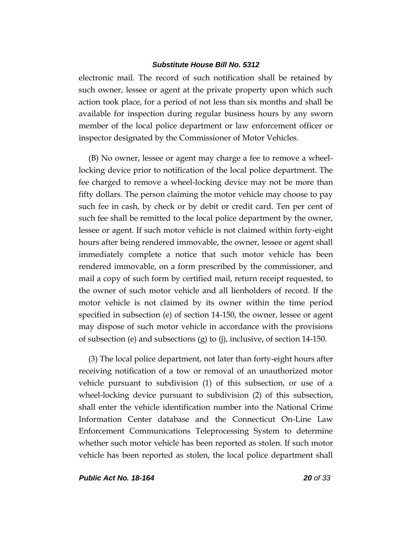electronic mail. The record of such notification shall be retained by such owner, lessee or agent at the private property upon which such action took place, for a period of not less than six months and shall be available for inspection during regular business hours by any sworn member of the local police department or law enforcement officer or inspector designated by the Commissioner of Motor Vehicles.

(B) No owner, lessee or agent may charge a fee to remove a wheellocking device prior to notification of the local police department. The fee charged to remove a wheel-locking device may not be more than fifty dollars. The person claiming the motor vehicle may choose to pay such fee in cash, by check or by debit or credit card. Ten per cent of such fee shall be remitted to the local police department by the owner, lessee or agent. If such motor vehicle is not claimed within forty-eight hours after being rendered immovable, the owner, lessee or agent shall immediately complete a notice that such motor vehicle has been rendered immovable, on a form prescribed by the commissioner, and mail a copy of such form by certified mail, return receipt requested, to the owner of such motor vehicle and all lienholders of record. If the motor vehicle is not claimed by its owner within the time period specified in subsection (e) of section 14-150, the owner, lessee or agent may dispose of such motor vehicle in accordance with the provisions of subsection (e) and subsections (g) to (j), inclusive, of section 14-150.

(3) The local police department, not later than forty-eight hours after receiving notification of a tow or removal of an unauthorized motor vehicle pursuant to subdivision (1) of this subsection, or use of a wheel-locking device pursuant to subdivision (2) of this subsection, shall enter the vehicle identification number into the National Crime Information Center database and the Connecticut On-Line Law Enforcement Communications Teleprocessing System to determine whether such motor vehicle has been reported as stolen. If such motor vehicle has been reported as stolen, the local police department shall

*Public Act No. 18-164 20 of 33*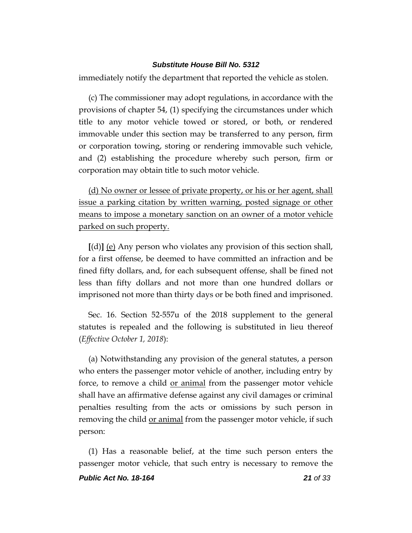immediately notify the department that reported the vehicle as stolen.

(c) The commissioner may adopt regulations, in accordance with the provisions of chapter 54, (1) specifying the circumstances under which title to any motor vehicle towed or stored, or both, or rendered immovable under this section may be transferred to any person, firm or corporation towing, storing or rendering immovable such vehicle, and (2) establishing the procedure whereby such person, firm or corporation may obtain title to such motor vehicle.

(d) No owner or lessee of private property, or his or her agent, shall issue a parking citation by written warning, posted signage or other means to impose a monetary sanction on an owner of a motor vehicle parked on such property.

**[**(d)**]** (e) Any person who violates any provision of this section shall, for a first offense, be deemed to have committed an infraction and be fined fifty dollars, and, for each subsequent offense, shall be fined not less than fifty dollars and not more than one hundred dollars or imprisoned not more than thirty days or be both fined and imprisoned.

Sec. 16. Section 52-557u of the 2018 supplement to the general statutes is repealed and the following is substituted in lieu thereof (*Effective October 1, 2018*):

(a) Notwithstanding any provision of the general statutes, a person who enters the passenger motor vehicle of another, including entry by force, to remove a child <u>or animal</u> from the passenger motor vehicle shall have an affirmative defense against any civil damages or criminal penalties resulting from the acts or omissions by such person in removing the child <u>or animal</u> from the passenger motor vehicle, if such person:

(1) Has a reasonable belief, at the time such person enters the passenger motor vehicle, that such entry is necessary to remove the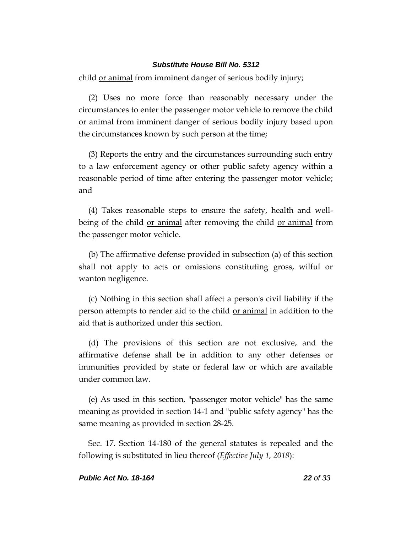child or animal from imminent danger of serious bodily injury;

(2) Uses no more force than reasonably necessary under the circumstances to enter the passenger motor vehicle to remove the child or animal from imminent danger of serious bodily injury based upon the circumstances known by such person at the time;

(3) Reports the entry and the circumstances surrounding such entry to a law enforcement agency or other public safety agency within a reasonable period of time after entering the passenger motor vehicle; and

(4) Takes reasonable steps to ensure the safety, health and wellbeing of the child or animal after removing the child or animal from the passenger motor vehicle.

(b) The affirmative defense provided in subsection (a) of this section shall not apply to acts or omissions constituting gross, wilful or wanton negligence.

(c) Nothing in this section shall affect a person's civil liability if the person attempts to render aid to the child or animal in addition to the aid that is authorized under this section.

(d) The provisions of this section are not exclusive, and the affirmative defense shall be in addition to any other defenses or immunities provided by state or federal law or which are available under common law.

(e) As used in this section, "passenger motor vehicle" has the same meaning as provided in section 14-1 and "public safety agency" has the same meaning as provided in section 28-25.

Sec. 17. Section 14-180 of the general statutes is repealed and the following is substituted in lieu thereof (*Effective July 1, 2018*):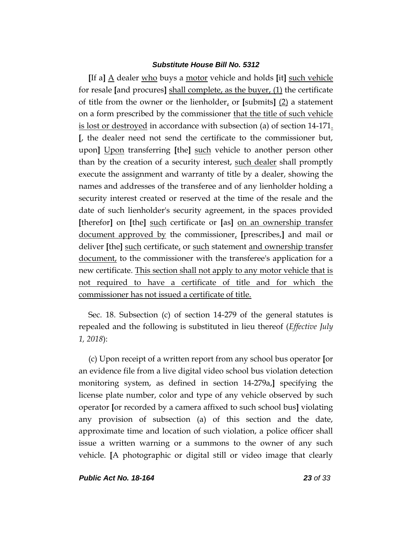**[**If a**]** A dealer who buys a motor vehicle and holds **[**it**]** such vehicle for resale **[**and procures**]** shall complete, as the buyer, (1) the certificate of title from the owner or the lienholder, or **[**submits**]** (2) a statement on a form prescribed by the commissioner that the title of such vehicle is lost or destroyed in accordance with subsection (a) of section 14-171. **[**, the dealer need not send the certificate to the commissioner but, upon**]** Upon transferring **[**the**]** such vehicle to another person other than by the creation of a security interest, such dealer shall promptly execute the assignment and warranty of title by a dealer, showing the names and addresses of the transferee and of any lienholder holding a security interest created or reserved at the time of the resale and the date of such lienholder's security agreement, in the spaces provided **[**therefor**]** on **[**the**]** such certificate or **[**as**]** on an ownership transfer document approved by the commissioner, **[**prescribes,**]** and mail or deliver **[**the**]** such certificate, or such statement and ownership transfer document, to the commissioner with the transferee's application for a new certificate. This section shall not apply to any motor vehicle that is not required to have a certificate of title and for which the commissioner has not issued a certificate of title.

Sec. 18. Subsection (c) of section 14-279 of the general statutes is repealed and the following is substituted in lieu thereof (*Effective July 1, 2018*):

(c) Upon receipt of a written report from any school bus operator **[**or an evidence file from a live digital video school bus violation detection monitoring system, as defined in section 14-279a,**]** specifying the license plate number, color and type of any vehicle observed by such operator **[**or recorded by a camera affixed to such school bus**]** violating any provision of subsection (a) of this section and the date, approximate time and location of such violation, a police officer shall issue a written warning or a summons to the owner of any such vehicle. **[**A photographic or digital still or video image that clearly

*Public Act No. 18-164 23 of 33*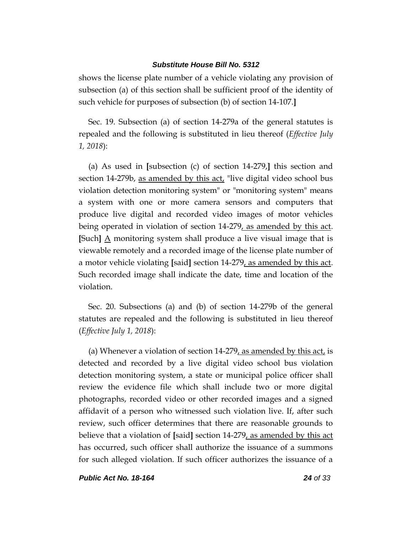shows the license plate number of a vehicle violating any provision of subsection (a) of this section shall be sufficient proof of the identity of such vehicle for purposes of subsection (b) of section 14-107.**]**

Sec. 19. Subsection (a) of section 14-279a of the general statutes is repealed and the following is substituted in lieu thereof (*Effective July 1, 2018*):

(a) As used in **[**subsection (c) of section 14-279,**]** this section and section 14-279b, as amended by this act, "live digital video school bus violation detection monitoring system" or "monitoring system" means a system with one or more camera sensors and computers that produce live digital and recorded video images of motor vehicles being operated in violation of section 14-279, as amended by this act. **[**Such**]** A monitoring system shall produce a live visual image that is viewable remotely and a recorded image of the license plate number of a motor vehicle violating **[**said**]** section 14-279, as amended by this act. Such recorded image shall indicate the date, time and location of the violation.

Sec. 20. Subsections (a) and (b) of section 14-279b of the general statutes are repealed and the following is substituted in lieu thereof (*Effective July 1, 2018*):

(a) Whenever a violation of section  $14-279$ , as amended by this act, is detected and recorded by a live digital video school bus violation detection monitoring system, a state or municipal police officer shall review the evidence file which shall include two or more digital photographs, recorded video or other recorded images and a signed affidavit of a person who witnessed such violation live. If, after such review, such officer determines that there are reasonable grounds to believe that a violation of **[**said**]** section 14-279, as amended by this act has occurred, such officer shall authorize the issuance of a summons for such alleged violation. If such officer authorizes the issuance of a

*Public Act No. 18-164 24 of 33*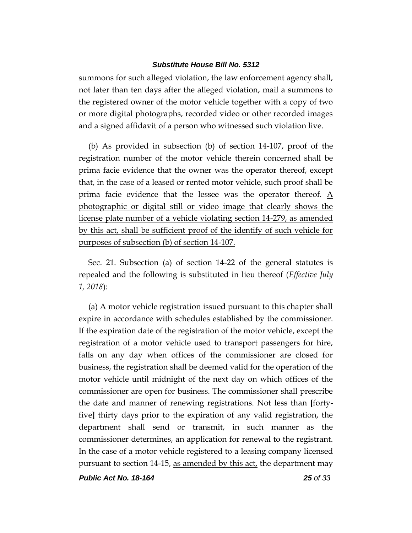summons for such alleged violation, the law enforcement agency shall, not later than ten days after the alleged violation, mail a summons to the registered owner of the motor vehicle together with a copy of two or more digital photographs, recorded video or other recorded images and a signed affidavit of a person who witnessed such violation live.

(b) As provided in subsection (b) of section 14-107, proof of the registration number of the motor vehicle therein concerned shall be prima facie evidence that the owner was the operator thereof, except that, in the case of a leased or rented motor vehicle, such proof shall be prima facie evidence that the lessee was the operator thereof.  $\underline{A}$ photographic or digital still or video image that clearly shows the license plate number of a vehicle violating section 14-279, as amended by this act, shall be sufficient proof of the identify of such vehicle for purposes of subsection (b) of section 14-107.

Sec. 21. Subsection (a) of section 14-22 of the general statutes is repealed and the following is substituted in lieu thereof (*Effective July 1, 2018*):

(a) A motor vehicle registration issued pursuant to this chapter shall expire in accordance with schedules established by the commissioner. If the expiration date of the registration of the motor vehicle, except the registration of a motor vehicle used to transport passengers for hire, falls on any day when offices of the commissioner are closed for business, the registration shall be deemed valid for the operation of the motor vehicle until midnight of the next day on which offices of the commissioner are open for business. The commissioner shall prescribe the date and manner of renewing registrations. Not less than **[**fortyfive**]** thirty days prior to the expiration of any valid registration, the department shall send or transmit, in such manner as the commissioner determines, an application for renewal to the registrant. In the case of a motor vehicle registered to a leasing company licensed pursuant to section 14-15, as amended by this act, the department may

*Public Act No. 18-164 25 of 33*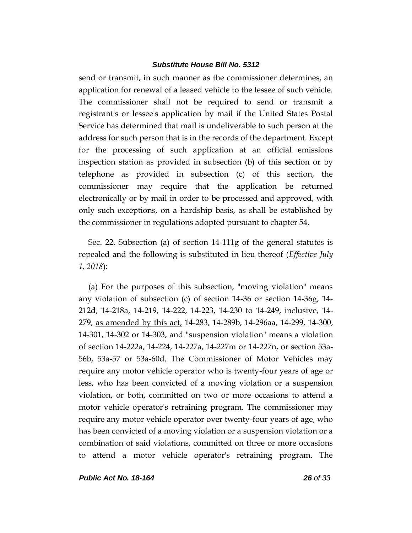send or transmit, in such manner as the commissioner determines, an application for renewal of a leased vehicle to the lessee of such vehicle. The commissioner shall not be required to send or transmit a registrant's or lessee's application by mail if the United States Postal Service has determined that mail is undeliverable to such person at the address for such person that is in the records of the department. Except for the processing of such application at an official emissions inspection station as provided in subsection (b) of this section or by telephone as provided in subsection (c) of this section, the commissioner may require that the application be returned electronically or by mail in order to be processed and approved, with only such exceptions, on a hardship basis, as shall be established by the commissioner in regulations adopted pursuant to chapter 54.

Sec. 22. Subsection (a) of section 14-111g of the general statutes is repealed and the following is substituted in lieu thereof (*Effective July 1, 2018*):

(a) For the purposes of this subsection, "moving violation" means any violation of subsection (c) of section 14-36 or section 14-36g, 14- 212d, 14-218a, 14-219, 14-222, 14-223, 14-230 to 14-249, inclusive, 14- 279, as amended by this act, 14-283, 14-289b, 14-296aa, 14-299, 14-300, 14-301, 14-302 or 14-303, and "suspension violation" means a violation of section 14-222a, 14-224, 14-227a, 14-227m or 14-227n, or section 53a-56b, 53a-57 or 53a-60d. The Commissioner of Motor Vehicles may require any motor vehicle operator who is twenty-four years of age or less, who has been convicted of a moving violation or a suspension violation, or both, committed on two or more occasions to attend a motor vehicle operator's retraining program. The commissioner may require any motor vehicle operator over twenty-four years of age, who has been convicted of a moving violation or a suspension violation or a combination of said violations, committed on three or more occasions to attend a motor vehicle operator's retraining program. The

*Public Act No. 18-164 26 of 33*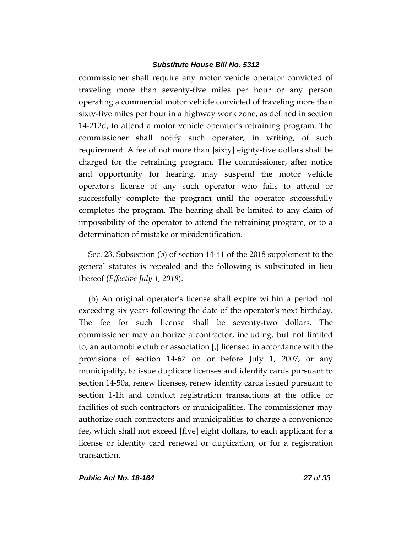commissioner shall require any motor vehicle operator convicted of traveling more than seventy-five miles per hour or any person operating a commercial motor vehicle convicted of traveling more than sixty-five miles per hour in a highway work zone, as defined in section 14-212d, to attend a motor vehicle operator's retraining program. The commissioner shall notify such operator, in writing, of such requirement. A fee of not more than **[**sixty**]** eighty-five dollars shall be charged for the retraining program. The commissioner, after notice and opportunity for hearing, may suspend the motor vehicle operator's license of any such operator who fails to attend or successfully complete the program until the operator successfully completes the program. The hearing shall be limited to any claim of impossibility of the operator to attend the retraining program, or to a determination of mistake or misidentification.

Sec. 23. Subsection (b) of section 14-41 of the 2018 supplement to the general statutes is repealed and the following is substituted in lieu thereof (*Effective July 1, 2018*):

(b) An original operator's license shall expire within a period not exceeding six years following the date of the operator's next birthday. The fee for such license shall be seventy-two dollars. The commissioner may authorize a contractor, including, but not limited to, an automobile club or association **[**,**]** licensed in accordance with the provisions of section 14-67 on or before July 1, 2007, or any municipality, to issue duplicate licenses and identity cards pursuant to section 14-50a, renew licenses, renew identity cards issued pursuant to section 1-1h and conduct registration transactions at the office or facilities of such contractors or municipalities. The commissioner may authorize such contractors and municipalities to charge a convenience fee, which shall not exceed **[**five**]** eight dollars, to each applicant for a license or identity card renewal or duplication, or for a registration transaction.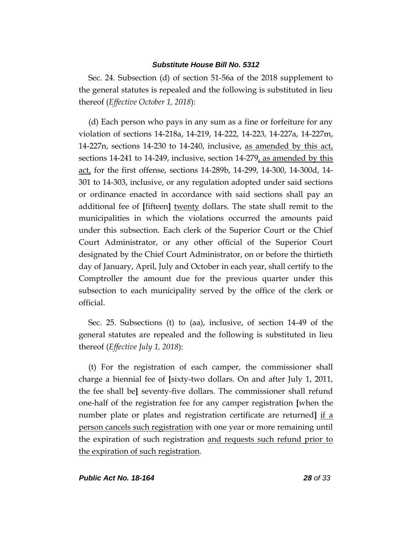Sec. 24. Subsection (d) of section 51-56a of the 2018 supplement to the general statutes is repealed and the following is substituted in lieu thereof (*Effective October 1, 2018*):

(d) Each person who pays in any sum as a fine or forfeiture for any violation of sections 14-218a, 14-219, 14-222, 14-223, 14-227a, 14-227m, 14-227n, sections 14-230 to 14-240, inclusive, as amended by this act, sections 14-241 to 14-249, inclusive, section 14-279, as amended by this act, for the first offense, sections 14-289b, 14-299, 14-300, 14-300d, 14- 301 to 14-303, inclusive, or any regulation adopted under said sections or ordinance enacted in accordance with said sections shall pay an additional fee of **[**fifteen**]** twenty dollars. The state shall remit to the municipalities in which the violations occurred the amounts paid under this subsection. Each clerk of the Superior Court or the Chief Court Administrator, or any other official of the Superior Court designated by the Chief Court Administrator, on or before the thirtieth day of January, April, July and October in each year, shall certify to the Comptroller the amount due for the previous quarter under this subsection to each municipality served by the office of the clerk or official.

Sec. 25. Subsections (t) to (aa), inclusive, of section 14-49 of the general statutes are repealed and the following is substituted in lieu thereof (*Effective July 1, 2018*):

(t) For the registration of each camper, the commissioner shall charge a biennial fee of **[**sixty-two dollars. On and after July 1, 2011, the fee shall be**]** seventy-five dollars. The commissioner shall refund one-half of the registration fee for any camper registration **[**when the number plate or plates and registration certificate are returned**]** if a person cancels such registration with one year or more remaining until the expiration of such registration and requests such refund prior to the expiration of such registration.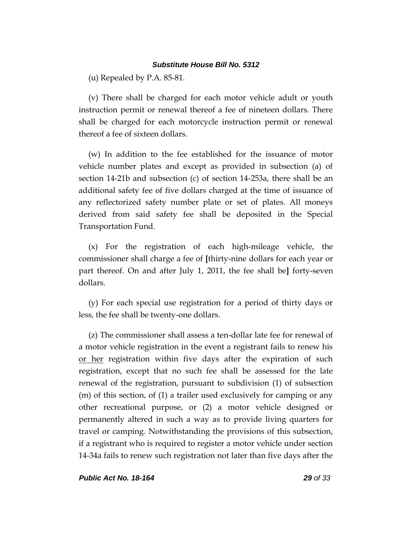(u) Repealed by P.A. 85-81.

(v) There shall be charged for each motor vehicle adult or youth instruction permit or renewal thereof a fee of nineteen dollars. There shall be charged for each motorcycle instruction permit or renewal thereof a fee of sixteen dollars.

(w) In addition to the fee established for the issuance of motor vehicle number plates and except as provided in subsection (a) of section 14-21b and subsection (c) of section 14-253a, there shall be an additional safety fee of five dollars charged at the time of issuance of any reflectorized safety number plate or set of plates. All moneys derived from said safety fee shall be deposited in the Special Transportation Fund.

(x) For the registration of each high-mileage vehicle, the commissioner shall charge a fee of **[**thirty-nine dollars for each year or part thereof. On and after July 1, 2011, the fee shall be**]** forty-seven dollars.

(y) For each special use registration for a period of thirty days or less, the fee shall be twenty-one dollars.

(z) The commissioner shall assess a ten-dollar late fee for renewal of a motor vehicle registration in the event a registrant fails to renew his or her registration within five days after the expiration of such registration, except that no such fee shall be assessed for the late renewal of the registration, pursuant to subdivision (1) of subsection (m) of this section, of (1) a trailer used exclusively for camping or any other recreational purpose, or (2) a motor vehicle designed or permanently altered in such a way as to provide living quarters for travel or camping. Notwithstanding the provisions of this subsection, if a registrant who is required to register a motor vehicle under section 14-34a fails to renew such registration not later than five days after the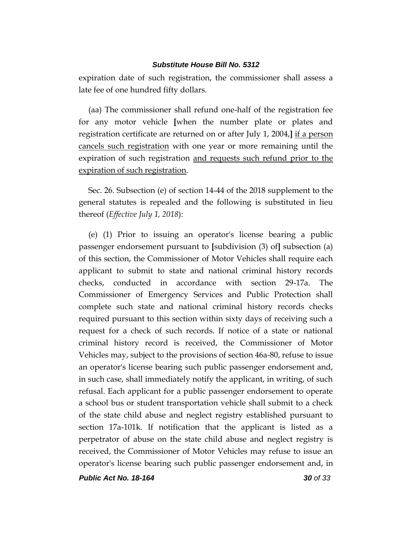expiration date of such registration, the commissioner shall assess a late fee of one hundred fifty dollars.

(aa) The commissioner shall refund one-half of the registration fee for any motor vehicle **[**when the number plate or plates and registration certificate are returned on or after July 1, 2004,**]** if a person cancels such registration with one year or more remaining until the expiration of such registration and requests such refund prior to the expiration of such registration.

Sec. 26. Subsection (e) of section 14-44 of the 2018 supplement to the general statutes is repealed and the following is substituted in lieu thereof (*Effective July 1, 2018*):

(e) (1) Prior to issuing an operator's license bearing a public passenger endorsement pursuant to **[**subdivision (3) of**]** subsection (a) of this section, the Commissioner of Motor Vehicles shall require each applicant to submit to state and national criminal history records checks, conducted in accordance with section 29-17a. The Commissioner of Emergency Services and Public Protection shall complete such state and national criminal history records checks required pursuant to this section within sixty days of receiving such a request for a check of such records. If notice of a state or national criminal history record is received, the Commissioner of Motor Vehicles may, subject to the provisions of section 46a-80, refuse to issue an operator's license bearing such public passenger endorsement and, in such case, shall immediately notify the applicant, in writing, of such refusal. Each applicant for a public passenger endorsement to operate a school bus or student transportation vehicle shall submit to a check of the state child abuse and neglect registry established pursuant to section 17a-101k. If notification that the applicant is listed as a perpetrator of abuse on the state child abuse and neglect registry is received, the Commissioner of Motor Vehicles may refuse to issue an operator's license bearing such public passenger endorsement and, in

*Public Act No. 18-164 30 of 33*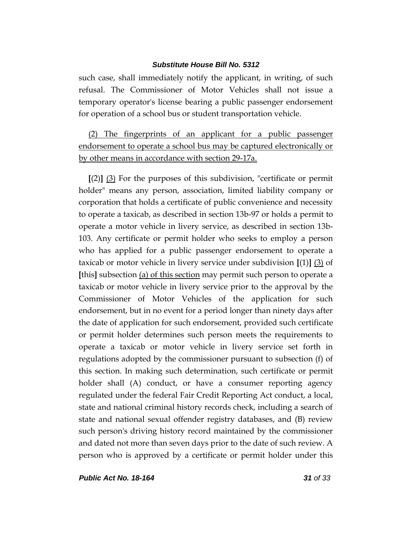such case, shall immediately notify the applicant, in writing, of such refusal. The Commissioner of Motor Vehicles shall not issue a temporary operator's license bearing a public passenger endorsement for operation of a school bus or student transportation vehicle.

(2) The fingerprints of an applicant for a public passenger endorsement to operate a school bus may be captured electronically or by other means in accordance with section 29-17a.

**[**(2)**]** (3) For the purposes of this subdivision, "certificate or permit holder" means any person, association, limited liability company or corporation that holds a certificate of public convenience and necessity to operate a taxicab, as described in section 13b-97 or holds a permit to operate a motor vehicle in livery service, as described in section 13b-103. Any certificate or permit holder who seeks to employ a person who has applied for a public passenger endorsement to operate a taxicab or motor vehicle in livery service under subdivision **[**(1)**]** (3) of **[**this**]** subsection (a) of this section may permit such person to operate a taxicab or motor vehicle in livery service prior to the approval by the Commissioner of Motor Vehicles of the application for such endorsement, but in no event for a period longer than ninety days after the date of application for such endorsement, provided such certificate or permit holder determines such person meets the requirements to operate a taxicab or motor vehicle in livery service set forth in regulations adopted by the commissioner pursuant to subsection (f) of this section. In making such determination, such certificate or permit holder shall (A) conduct, or have a consumer reporting agency regulated under the federal Fair Credit Reporting Act conduct, a local, state and national criminal history records check, including a search of state and national sexual offender registry databases, and (B) review such person's driving history record maintained by the commissioner and dated not more than seven days prior to the date of such review. A person who is approved by a certificate or permit holder under this

*Public Act No. 18-164 31 of 33*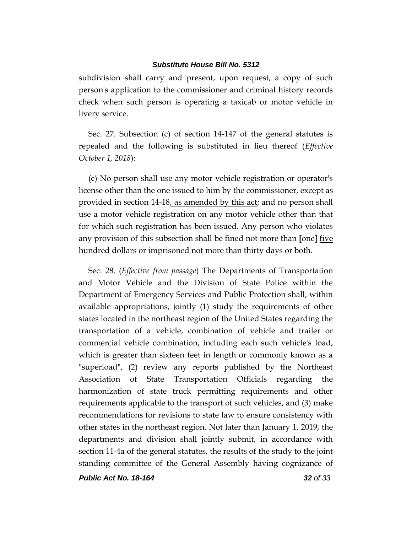subdivision shall carry and present, upon request, a copy of such person's application to the commissioner and criminal history records check when such person is operating a taxicab or motor vehicle in livery service.

Sec. 27. Subsection (c) of section 14-147 of the general statutes is repealed and the following is substituted in lieu thereof (*Effective October 1, 2018*):

(c) No person shall use any motor vehicle registration or operator's license other than the one issued to him by the commissioner, except as provided in section 14-18, as amended by this act; and no person shall use a motor vehicle registration on any motor vehicle other than that for which such registration has been issued. Any person who violates any provision of this subsection shall be fined not more than **[**one**]** five hundred dollars or imprisoned not more than thirty days or both.

Sec. 28. (*Effective from passage*) The Departments of Transportation and Motor Vehicle and the Division of State Police within the Department of Emergency Services and Public Protection shall, within available appropriations, jointly (1) study the requirements of other states located in the northeast region of the United States regarding the transportation of a vehicle, combination of vehicle and trailer or commercial vehicle combination, including each such vehicle's load, which is greater than sixteen feet in length or commonly known as a "superload", (2) review any reports published by the Northeast Association of State Transportation Officials regarding the harmonization of state truck permitting requirements and other requirements applicable to the transport of such vehicles, and (3) make recommendations for revisions to state law to ensure consistency with other states in the northeast region. Not later than January 1, 2019, the departments and division shall jointly submit, in accordance with section 11-4a of the general statutes, the results of the study to the joint standing committee of the General Assembly having cognizance of

*Public Act No. 18-164 32 of 33*